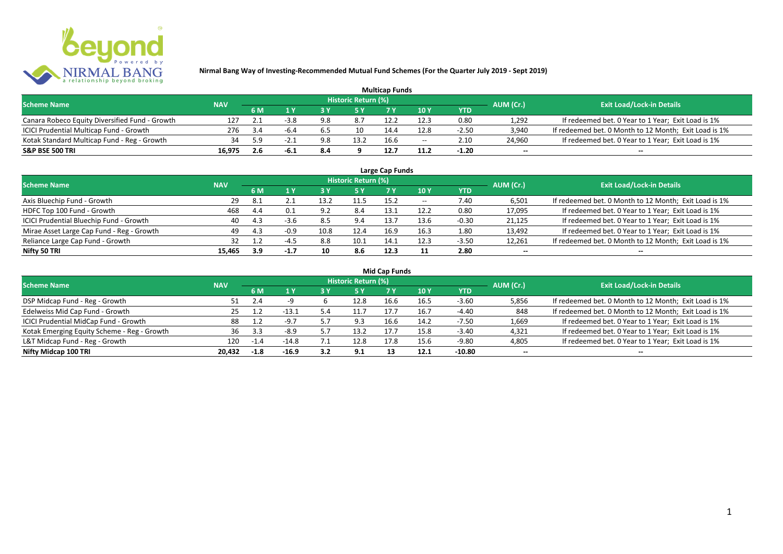

| <b>Multicap Funds</b>                          |            |     |      |     |                            |      |                          |         |                          |                                                       |  |  |  |  |
|------------------------------------------------|------------|-----|------|-----|----------------------------|------|--------------------------|---------|--------------------------|-------------------------------------------------------|--|--|--|--|
| <b>Scheme Name</b>                             | <b>NAV</b> |     |      |     | <b>Historic Return (%)</b> |      |                          |         | AUM (Cr.)                | <b>Exit Load/Lock-in Details</b>                      |  |  |  |  |
|                                                |            | 6 M |      |     |                            |      | 10Y                      | YTD     |                          |                                                       |  |  |  |  |
| Canara Robeco Equity Diversified Fund - Growth | 127        |     | -3.8 | 9.8 | 8.7                        | 12.2 | 12.3                     | 0.80    | 1,292                    | If redeemed bet. 0 Year to 1 Year; Exit Load is 1%    |  |  |  |  |
| ICICI Prudential Multicap Fund - Growth        | 276        | 3 4 | -6.4 | b.5 | 10                         | 14.4 | 12.8                     | $-2.50$ | 3,940                    | If redeemed bet. 0 Month to 12 Month; Exit Load is 1% |  |  |  |  |
| Kotak Standard Multicap Fund - Reg - Growth    | 34         |     |      | 9.8 | 13.2                       | 16.6 | $\overline{\phantom{a}}$ | 2.10    | 24,960                   | If redeemed bet. 0 Year to 1 Year; Exit Load is 1%    |  |  |  |  |
| S&P BSE 500 TRI                                | 16.975     |     | -6.1 | 8.4 |                            | 12.7 |                          | $-1.20$ | $\overline{\phantom{a}}$ | $\overline{\phantom{a}}$                              |  |  |  |  |

| Large Cap Funds<br>Historic Return (%)    |            |     |        |       |      |      |       |            |                          |                                                       |  |  |  |  |
|-------------------------------------------|------------|-----|--------|-------|------|------|-------|------------|--------------------------|-------------------------------------------------------|--|--|--|--|
| <b>Scheme Name</b>                        | <b>NAV</b> | 6 M | 1 Y    | ט כ   | 5 Y  |      | 10Y   | <b>YTD</b> | AUM (Cr.)                | <b>Exit Load/Lock-in Details</b>                      |  |  |  |  |
| Axis Bluechip Fund - Growth               | 29         | 8.1 |        | 13.2  | 11.5 | 15.2 | $- -$ | 7.40       | 6,501                    | If redeemed bet. 0 Month to 12 Month; Exit Load is 1% |  |  |  |  |
| HDFC Top 100 Fund - Growth                | 468        | 4.4 | 0.1    | . ባ ገ | 8.4  | 13.1 | 12.2  | 0.80       | 17,095                   | If redeemed bet. 0 Year to 1 Year; Exit Load is 1%    |  |  |  |  |
| ICICI Prudential Bluechip Fund - Growth   | 40         | 4.3 | $-3.6$ | 8.5   | 9.4  | 13.7 | 13.6  | $-0.30$    | 21,125                   | If redeemed bet. 0 Year to 1 Year; Exit Load is 1%    |  |  |  |  |
| Mirae Asset Large Cap Fund - Reg - Growth | 49         | 4.3 | $-0.9$ | 10.8  | 12.4 | 16.9 | 16.3  | 1.80       | 13,492                   | If redeemed bet. 0 Year to 1 Year; Exit Load is 1%    |  |  |  |  |
| Reliance Large Cap Fund - Growth          |            |     | $-4.5$ | 8.8   | 10.1 | 14.1 | 12.3  | $-3.50$    | 12,261                   | If redeemed bet. 0 Month to 12 Month; Exit Load is 1% |  |  |  |  |
| Nifty 50 TRI                              | 15.465     | 3.9 | -1.7   | 10    | 8.6  | 12.3 | 11    | 2.80       | $\overline{\phantom{a}}$ | $\overline{\phantom{a}}$                              |  |  |  |  |

| <b>Mid Cap Funds</b>                        |            |        |                         |     |                     |      |      |            |                          |                                                       |  |  |  |  |
|---------------------------------------------|------------|--------|-------------------------|-----|---------------------|------|------|------------|--------------------------|-------------------------------------------------------|--|--|--|--|
| <b>Scheme Name</b>                          | <b>NAV</b> |        |                         |     | Historic Return (%) |      |      |            | AUM (Cr.)                | <b>Exit Load/Lock-in Details</b>                      |  |  |  |  |
|                                             |            | 6 M    | $\mathbf{A} \mathbf{Y}$ | 3 Y | <b>5Y</b>           | 7 Y  | 10Y  | <b>YTD</b> |                          |                                                       |  |  |  |  |
| DSP Midcap Fund - Reg - Growth              | 51         | 2.4    |                         |     | 12.8                | 16.6 | 16.5 | $-3.60$    | 5,856                    | If redeemed bet. 0 Month to 12 Month; Exit Load is 1% |  |  |  |  |
| Edelweiss Mid Cap Fund - Growth             | 25         |        | $-13.1$                 |     | 11.7                | 17.7 | 16.7 | $-4.40$    | 848                      | If redeemed bet. 0 Month to 12 Month; Exit Load is 1% |  |  |  |  |
| ICICI Prudential MidCap Fund - Growth       | 88         |        | $-9.7$                  |     | 9.3                 | 16.6 | 14.2 | $-7.50$    | 1,669                    | If redeemed bet. 0 Year to 1 Year; Exit Load is 1%    |  |  |  |  |
| Kotak Emerging Equity Scheme - Reg - Growth | 36         | 3.3    | $-8.9$                  |     | 13.2                | 17.7 | 15.8 | $-3.40$    | 4,321                    | If redeemed bet. 0 Year to 1 Year; Exit Load is 1%    |  |  |  |  |
| L&T Midcap Fund - Reg - Growth              | 120        | $-1.4$ | $-14.8$                 |     | 12.8                | 17.8 | 15.6 | $-9.80$    | 4,805                    | If redeemed bet. 0 Year to 1 Year; Exit Load is 1%    |  |  |  |  |
| Nifty Midcap 100 TRI                        | 20.432     | $-1.8$ | $-16.9$                 | 3.2 | 9.1                 |      | 12.1 | -10.80     | $\overline{\phantom{a}}$ | $\overline{\phantom{a}}$                              |  |  |  |  |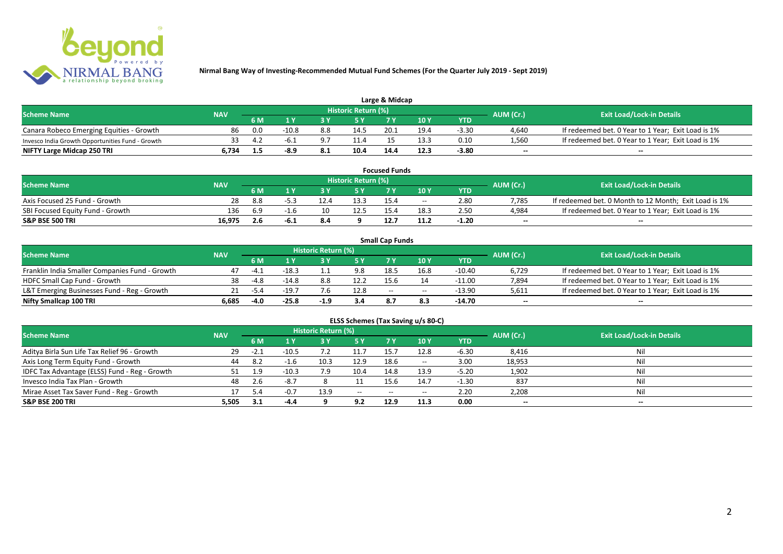

| Large & Midcap                                   |            |     |         |     |                     |      |      |         |           |                                                    |  |  |  |
|--------------------------------------------------|------------|-----|---------|-----|---------------------|------|------|---------|-----------|----------------------------------------------------|--|--|--|
| <b>Scheme Name</b>                               | <b>NAV</b> |     |         |     | Historic Return (%) |      |      |         | AUM (Cr.) | <b>Exit Load/Lock-in Details</b>                   |  |  |  |
|                                                  |            | 6 M |         |     |                     |      | 10Y  | YTD     |           |                                                    |  |  |  |
| Canara Robeco Emerging Equities - Growth         | 86         | 0.0 | $-10.8$ | 8.8 | 14.5                | 20.1 | 19.4 | $-3.30$ | 4,640     | If redeemed bet. 0 Year to 1 Year; Exit Load is 1% |  |  |  |
| Invesco India Growth Opportunities Fund - Growth |            |     | -h.     |     | 11.4                |      | 13.3 | 0.10    | 1,560     | If redeemed bet. 0 Year to 1 Year; Exit Load is 1% |  |  |  |
| NIFTY Large Midcap 250 TRI                       | 34ه -      |     | -8.9    | 8.1 | 10.4                | 14.4 | 12.3 | -3.80   | $-$       | $- -$                                              |  |  |  |

|                                  |            |     |      |      |                     | <b>Focused Funds</b> |       |            |                          |                                                       |
|----------------------------------|------------|-----|------|------|---------------------|----------------------|-------|------------|--------------------------|-------------------------------------------------------|
| <b>Scheme Name</b>               | <b>NAV</b> |     |      |      | Historic Return (%) |                      |       |            | AUM (Cr.)                | <b>Exit Load/Lock-in Details</b>                      |
|                                  |            | 6 M |      |      | <b>EV</b>           |                      | 10 Y  | <b>YTD</b> |                          |                                                       |
| Axis Focused 25 Fund - Growth    | 28         | 8.8 |      | 12.4 | 13.3                | 15.4                 | $- -$ | 2.80       | 7.785                    | If redeemed bet. 0 Month to 12 Month; Exit Load is 1% |
| SBI Focused Equity Fund - Growth | 136        | 6.9 | -1.6 | 10   | 12.5                |                      | 18.3  | 2.50       | 4.984                    | If redeemed bet. 0 Year to 1 Year; Exit Load is 1%    |
| <b>S&amp;P BSE 500 TRI</b>       | 16.975     | 2.6 | د.6- |      |                     |                      | 11.2  | $-1.20$    | $\overline{\phantom{a}}$ | $- -$                                                 |

|                                                |            |        |         |                     |      | <b>Small Cap Funds</b> |                                       |          |                          |                                                    |
|------------------------------------------------|------------|--------|---------|---------------------|------|------------------------|---------------------------------------|----------|--------------------------|----------------------------------------------------|
| <b>Scheme Name</b>                             | <b>NAV</b> |        |         | Historic Return (%) |      |                        |                                       |          | AUM (Cr.)                | <b>Exit Load/Lock-in Details</b>                   |
|                                                |            | 6 M    |         |                     |      |                        | 10 Y                                  | YTD      |                          |                                                    |
| Franklin India Smaller Companies Fund - Growth | 47         | -4.1   | $-18.3$ |                     | 9.8  | 18.5                   | 16.8                                  | -10.40   | 6,729                    | If redeemed bet. 0 Year to 1 Year; Exit Load is 1% |
| HDFC Small Cap Fund - Growth                   | 38         | $-4.8$ | $-14.8$ | 8.8                 | 12.2 | 15.6                   |                                       | $-11.00$ | 7,894                    | If redeemed bet. 0 Year to 1 Year; Exit Load is 1% |
| L&T Emerging Businesses Fund - Reg - Growth    |            | -5.4   | $-19.7$ |                     | 12.8 | $-$                    | $\hspace{0.05cm}$ – $\hspace{0.05cm}$ | $-13.90$ | 5,611                    | If redeemed bet. 0 Year to 1 Year; Exit Load is 1% |
| Nifty Smallcap 100 TRI                         | 6.685      | $-4.0$ | $-25.8$ | $-1.9$              | 3.4  | 8.7                    |                                       | -14.70   | $\overline{\phantom{a}}$ | $-$                                                |

| ELSS Schemes (Tax Saving u/s 80-C)            |            |        |         |                            |                          |           |                 |            |                          |                                  |  |  |  |
|-----------------------------------------------|------------|--------|---------|----------------------------|--------------------------|-----------|-----------------|------------|--------------------------|----------------------------------|--|--|--|
| <b>Scheme Name</b>                            | <b>NAV</b> |        |         | <b>Historic Return (%)</b> |                          |           |                 |            | AUM (Cr.)                | <b>Exit Load/Lock-in Details</b> |  |  |  |
|                                               |            | 6 M    | 1 Y     | 3 Y                        | 75 Y                     | <b>7Y</b> | 10 <sub>Y</sub> | <b>YTD</b> |                          |                                  |  |  |  |
| Aditya Birla Sun Life Tax Relief 96 - Growth  | -29        | $-2.1$ | $-10.5$ |                            |                          | 15.7      | 12.8            | $-6.30$    | 8,416                    | Nil                              |  |  |  |
| Axis Long Term Equity Fund - Growth           | 44         | 8.2    | $-1.6$  | 10.3                       | 12.9                     | 18.6      | $- -$           | 3.00       | 18,953                   | Nil                              |  |  |  |
| IDFC Tax Advantage (ELSS) Fund - Reg - Growth |            | 1.9    | $-10.3$ | 7.9                        | 10.4                     | 14.8      | 13.9            | $-5.20$    | 1,902                    | Nil                              |  |  |  |
| Invesco India Tax Plan - Growth               | 48         | 2.6    | $-8.7$  |                            |                          | 15.6      | 14.7            | $-1.30$    | 837                      | Nil                              |  |  |  |
| Mirae Asset Tax Saver Fund - Reg - Growth     |            | 5.4    | $-0.7$  | 13.9                       | $\hspace{0.05cm} \ldots$ | $-$       | $- -$           | 2.20       | 2,208                    | Nil                              |  |  |  |
| S&P BSE 200 TRI                               | 5,505      | 3.1    | $-4.4$  |                            | 9.2                      | 12.9      | 11.3            | 0.00       | $\overline{\phantom{a}}$ | $\overline{\phantom{a}}$         |  |  |  |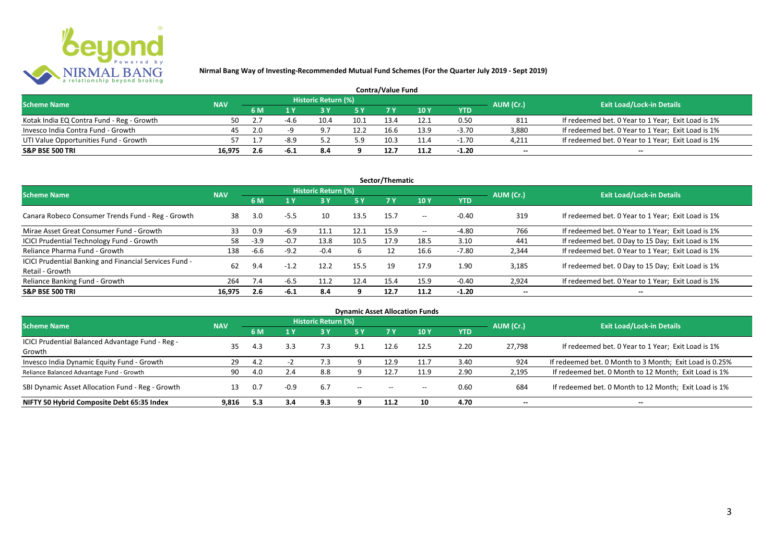

| <b>Contra/Value Fund</b>                  |            |           |                                  |      |      |      |      |         |        |                                                    |  |  |  |  |
|-------------------------------------------|------------|-----------|----------------------------------|------|------|------|------|---------|--------|----------------------------------------------------|--|--|--|--|
| <b>Scheme Name</b>                        | <b>NAV</b> | AUM (Cr.) | <b>Exit Load/Lock-in Details</b> |      |      |      |      |         |        |                                                    |  |  |  |  |
|                                           |            | 6 M       |                                  |      |      |      | 10Y  | YTD     |        |                                                    |  |  |  |  |
| Kotak India EQ Contra Fund - Reg - Growth | 50         |           |                                  | 10.4 | 10.1 | 13.4 |      | 0.50    | 811    | If redeemed bet. 0 Year to 1 Year; Exit Load is 1% |  |  |  |  |
| Invesco India Contra Fund - Growth        | 45         | 2.0       |                                  |      | 12.2 | 16.6 | 13.9 | $-3.70$ | 3.880  | If redeemed bet. 0 Year to 1 Year; Exit Load is 1% |  |  |  |  |
| UTI Value Opportunities Fund - Growth     |            |           | $-8.9$                           |      | 5.9  | 10.3 |      | $-1.70$ | 4,211  | If redeemed bet. 0 Year to 1 Year; Exit Load is 1% |  |  |  |  |
| <b>S&amp;P BSE 500 TRI</b>                | 16.975     | 2.6       | -b. 1                            | 8.4  |      | 12.7 |      | $-1.20$ | $\sim$ | $\overline{\phantom{a}}$                           |  |  |  |  |

|                                                                           |            |        |        |                     |      | Sector/Thematic |                   |            |                          |                                                    |
|---------------------------------------------------------------------------|------------|--------|--------|---------------------|------|-----------------|-------------------|------------|--------------------------|----------------------------------------------------|
| <b>Scheme Name</b>                                                        | <b>NAV</b> |        |        | Historic Return (%) |      |                 |                   |            | AUM (Cr.)                | <b>Exit Load/Lock-in Details</b>                   |
|                                                                           |            | 6 M    | 4 Y    |                     | 5 Y  | <b>7Y</b>       | 10Y               | <b>YTD</b> |                          |                                                    |
| Canara Robeco Consumer Trends Fund - Reg - Growth                         | 38         | 3.0    | $-5.5$ | 10                  | 13.5 | 15.7            | $- -$             | $-0.40$    | 319                      | If redeemed bet. 0 Year to 1 Year; Exit Load is 1% |
| Mirae Asset Great Consumer Fund - Growth                                  | 33         | 0.9    | $-6.9$ | 11.1                | 12.1 | 15.9            | $\hspace{0.05cm}$ | -4.80      | 766                      | If redeemed bet. 0 Year to 1 Year; Exit Load is 1% |
| ICICI Prudential Technology Fund - Growth                                 | 58         | $-3.9$ | $-0.7$ | 13.8                | 10.5 | 17.9            | 18.5              | 3.10       | 441                      | If redeemed bet. 0 Day to 15 Day; Exit Load is 1%  |
| Reliance Pharma Fund - Growth                                             | 138        | $-6.6$ | $-9.2$ | $-0.4$              | b    |                 | 16.6              | $-7.80$    | 2,344                    | If redeemed bet. 0 Year to 1 Year; Exit Load is 1% |
| ICICI Prudential Banking and Financial Services Fund -<br>Retail - Growth | 62         | 9.4    | $-1.2$ | 12.2                | 15.5 | 19              | 17.9              | 1.90       | 3.185                    | If redeemed bet. 0 Day to 15 Day; Exit Load is 1%  |
| Reliance Banking Fund - Growth                                            | 264        | 7.4    | $-6.5$ | 11.2                | 12.4 | 15.4            | 15.9              | $-0.40$    | 2,924                    | If redeemed bet. 0 Year to 1 Year; Exit Load is 1% |
| <b>S&amp;P BSE 500 TRI</b>                                                | 16.975     | 2.6    | -6.1   | 8.4                 | 9    | 12.7            | 11.2              | $-1.20$    | $\overline{\phantom{a}}$ | --                                                 |

| <b>Dynamic Asset Allocation Funds</b>            |            |     |        |                            |                                       |                                       |       |            |                          |                                                         |  |  |  |  |
|--------------------------------------------------|------------|-----|--------|----------------------------|---------------------------------------|---------------------------------------|-------|------------|--------------------------|---------------------------------------------------------|--|--|--|--|
| Scheme Name                                      | <b>NAV</b> |     |        | <b>Historic Return (%)</b> |                                       |                                       |       |            | AUM (Cr.)                | <b>Exit Load/Lock-in Details</b>                        |  |  |  |  |
|                                                  |            | 6 M | 1 Y    | 73 V.                      | 5 Y                                   |                                       | 10 Y  | <b>YTD</b> |                          |                                                         |  |  |  |  |
| ICICI Prudential Balanced Advantage Fund - Reg - | 35         |     | 3.3    |                            | 9.1                                   | 12.6                                  | 12.5  | 2.20       | 27.798                   | If redeemed bet. 0 Year to 1 Year; Exit Load is 1%      |  |  |  |  |
| Growth                                           |            | 4.3 |        | 7.3                        |                                       |                                       |       |            |                          |                                                         |  |  |  |  |
| Invesco India Dynamic Equity Fund - Growth       | 29         | 4.2 |        |                            |                                       | 12.9                                  |       | 3.40       | 924                      | If redeemed bet. 0 Month to 3 Month; Exit Load is 0.25% |  |  |  |  |
| Reliance Balanced Advantage Fund - Growth        | 90         | 4.0 | 2.4    | 8.8                        |                                       | 12.7                                  | 11.9  | 2.90       | 2,195                    | If redeemed bet. 0 Month to 12 Month; Exit Load is 1%   |  |  |  |  |
| SBI Dynamic Asset Allocation Fund - Reg - Growth |            | 0.7 | $-0.9$ | 6.7                        | $\hspace{0.05cm}$ – $\hspace{0.05cm}$ | $\hspace{0.05cm}$ – $\hspace{0.05cm}$ | $- -$ | 0.60       | 684                      | If redeemed bet. 0 Month to 12 Month; Exit Load is 1%   |  |  |  |  |
| NIFTY 50 Hybrid Composite Debt 65:35 Index       | 9.816      | 5.3 | 3.4    | 9.3                        |                                       | 11.2                                  | 10    | 4.70       | $\overline{\phantom{a}}$ | $- -$                                                   |  |  |  |  |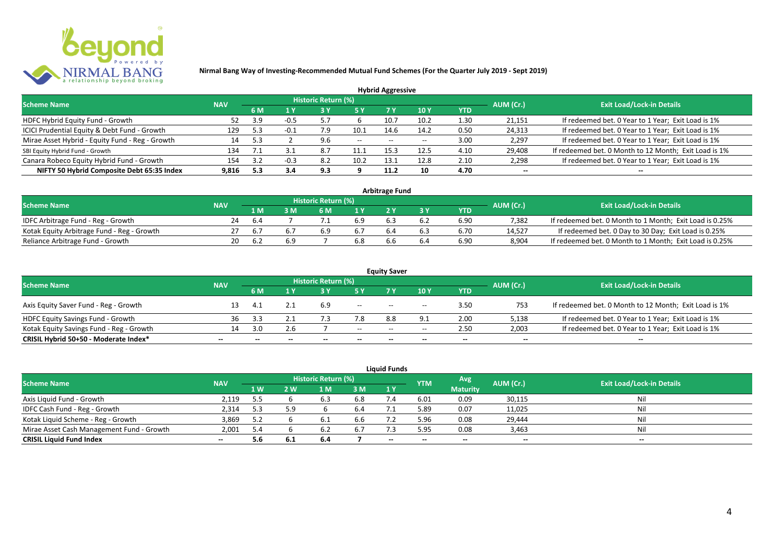

|                                                 |            |      |      |                            |      | <b>Hybrid Aggressive</b> |                          |            |                          |                                                       |
|-------------------------------------------------|------------|------|------|----------------------------|------|--------------------------|--------------------------|------------|--------------------------|-------------------------------------------------------|
| <b>Scheme Name</b>                              | <b>NAV</b> |      |      | <b>Historic Return (%)</b> |      |                          |                          |            | AUM (Cr.)                | <b>Exit Load/Lock-in Details</b>                      |
|                                                 |            | 6 M  | 1 Y  |                            | 5 Y  | 7 Y                      | <b>10Y</b>               | <b>YTD</b> |                          |                                                       |
| HDFC Hybrid Equity Fund - Growth                | 52         | 3.9  | -0.5 |                            |      | 10.7                     | 10.2                     | 1.30       | 21,151                   | If redeemed bet. 0 Year to 1 Year; Exit Load is 1%    |
| ICICI Prudential Equity & Debt Fund - Growth    | 129        | 5.3  |      | 7.9                        | 10.1 | 14.6                     | 14.2                     | 0.50       | 24,313                   | If redeemed bet. 0 Year to 1 Year; Exit Load is 1%    |
| Mirae Asset Hybrid - Equity Fund - Reg - Growth | 14         |      |      | 9.6                        | $--$ | $- -$                    | $\overline{\phantom{a}}$ | 3.00       | 2,297                    | If redeemed bet. 0 Year to 1 Year; Exit Load is 1%    |
| SBI Equity Hybrid Fund - Growth                 | 134        |      |      | 8.7                        | 11.1 | 15.4                     | 12.5                     | 4.10       | 29,408                   | If redeemed bet. 0 Month to 12 Month; Exit Load is 1% |
| Canara Robeco Equity Hybrid Fund - Growth       | 154        | 3.2  |      | 8.2                        | 10.2 | 13.                      | 12.8                     | 2.10       | 2,298                    | If redeemed bet. 0 Year to 1 Year; Exit Load is 1%    |
| NIFTY 50 Hybrid Composite Debt 65:35 Index      | 9.816      | -5.3 | 3.4  | 9.3                        |      | 11.2                     | 10                       | 4.70       | $\overline{\phantom{a}}$ | $\overline{\phantom{a}}$                              |

| <b>Arbitrage Fund</b>                      |            |     |     |                     |     |  |     |            |           |                                                         |  |  |  |
|--------------------------------------------|------------|-----|-----|---------------------|-----|--|-----|------------|-----------|---------------------------------------------------------|--|--|--|
| <b>Scheme Name</b>                         | <b>NAV</b> |     |     | Historic Return (%) |     |  |     |            | AUM (Cr.) | <b>Exit Load/Lock-in Details</b>                        |  |  |  |
|                                            |            | 1 M |     | 6 M                 |     |  |     | <b>YTD</b> |           |                                                         |  |  |  |
| IDFC Arbitrage Fund - Reg - Growth         | 24         | 6.4 |     |                     | 6.9 |  |     | 6.90       | 7.382     | If redeemed bet. 0 Month to 1 Month; Exit Load is 0.25% |  |  |  |
| Kotak Equity Arbitrage Fund - Reg - Growth |            |     |     | 6.9                 |     |  | 6.3 | 6.70       | 14.527    | If redeemed bet. 0 Day to 30 Day; Exit Load is 0.25%    |  |  |  |
| Reliance Arbitrage Fund - Growth           | 20         |     | 6.9 |                     | 6.8 |  | b.4 | 6.90       | 8.904     | If redeemed bet. 0 Month to 1 Month; Exit Load is 0.25% |  |  |  |

|                                          |                          |              |                          |                     |        | <b>Equity Saver</b> |                                       |                          |                          |                                                       |
|------------------------------------------|--------------------------|--------------|--------------------------|---------------------|--------|---------------------|---------------------------------------|--------------------------|--------------------------|-------------------------------------------------------|
| <b>Scheme Name</b>                       | <b>NAV</b>               |              |                          | Historic Return (%) |        |                     |                                       |                          | AUM (Cr.)                | <b>Exit Load/Lock-in Details</b>                      |
|                                          |                          | 6 M          |                          |                     |        |                     | 10 Y                                  | <b>YTD</b>               |                          |                                                       |
| Axis Equity Saver Fund - Reg - Growth    |                          |              |                          | 6.9                 | $- -$  | $- -$               | $\overline{\phantom{a}}$              | 3.50                     | 753                      | If redeemed bet. 0 Month to 12 Month; Exit Load is 1% |
| HDFC Equity Savings Fund - Growth        | 36                       |              |                          |                     | 7.8    | 8.8                 |                                       | 2.00                     | 5,138                    | If redeemed bet. 0 Year to 1 Year; Exit Load is 1%    |
| Kotak Equity Savings Fund - Reg - Growth |                          | 3.0          | 2.6                      |                     | $- -$  | $- -$               | $\hspace{0.05cm}$ – $\hspace{0.05cm}$ | 2.50                     | 2,003                    | If redeemed bet. 0 Year to 1 Year; Exit Load is 1%    |
| CRISIL Hybrid 50+50 - Moderate Index*    | $\overline{\phantom{a}}$ | $\mathbf{m}$ | $\overline{\phantom{a}}$ | $- -$               | $\sim$ | $- -$               | $\overline{\phantom{a}}$              | $\overline{\phantom{a}}$ | $\overline{\phantom{a}}$ | $- -$                                                 |

|                                           |                          |      |      |                     |     | <b>Liquid Funds</b>      |            |                 |                          |                                  |
|-------------------------------------------|--------------------------|------|------|---------------------|-----|--------------------------|------------|-----------------|--------------------------|----------------------------------|
| <b>Scheme Name</b>                        | <b>NAV</b>               |      |      | Historic Return (%) |     |                          | <b>YTM</b> | Avg             | AUM (Cr.)                | <b>Exit Load/Lock-in Details</b> |
|                                           |                          | 1W   | 2 W  | L M.                | 3 M | <b>41 YZ</b>             |            | <b>Maturity</b> |                          |                                  |
| Axis Liquid Fund - Growth                 | 2,119                    | 5.5  |      | 6.3                 | 6.8 |                          | 6.01       | 0.09            | 30,115                   | Nil                              |
| IDFC Cash Fund - Reg - Growth             | 2,314                    | -5.3 | 59   |                     | 6.4 |                          | 5.89       | 0.07            | 11,025                   | Nil                              |
| Kotak Liquid Scheme - Reg - Growth        | 3,869                    | 5.2  |      |                     | 6.6 |                          | 5.96       | 0.08            | 29,444                   | Nil                              |
| Mirae Asset Cash Management Fund - Growth | 2,001                    | 5.4  |      |                     | 6.7 |                          | 5.95       | 0.08            | 3,463                    | Nil                              |
| <b>CRISIL Liquid Fund Index</b>           | $\overline{\phantom{a}}$ | 5.6  | -6.1 | 6.4                 |     | $\overline{\phantom{a}}$ | $- -$      | $- -$           | $\overline{\phantom{a}}$ | $\overline{\phantom{a}}$         |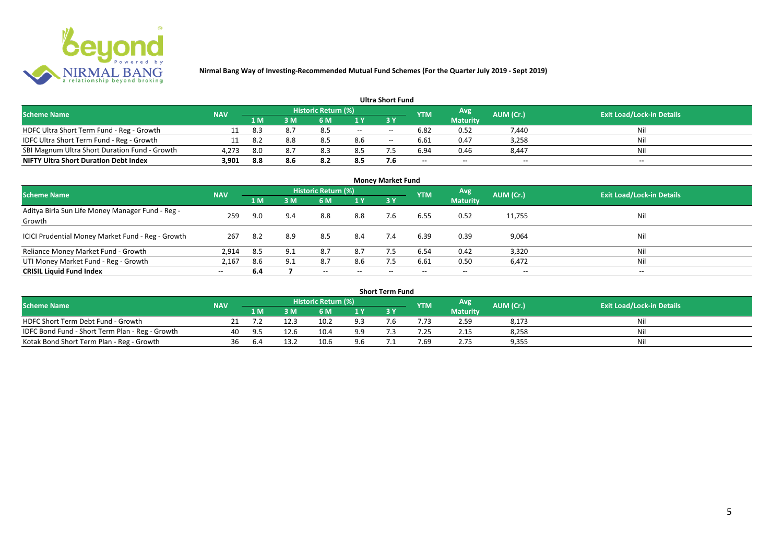

|                                               |            |       |      |                            |     | <b>Ultra Short Fund</b> |                          |                          |                          |                                  |
|-----------------------------------------------|------------|-------|------|----------------------------|-----|-------------------------|--------------------------|--------------------------|--------------------------|----------------------------------|
| <b>Scheme Name</b>                            | <b>NAV</b> |       |      | <b>Historic Return (%)</b> |     |                         | <b>YTM</b>               | Avg                      | AUM (Cr.)                | <b>Exit Load/Lock-in Details</b> |
|                                               |            | 71 M. | 8 M' | 6 M                        |     | 3 Y                     |                          | <b>Maturity</b>          |                          |                                  |
| HDFC Ultra Short Term Fund - Reg - Growth     |            | -8.3  |      | 8.5                        | $-$ | $- -$                   | 6.82                     | 0.52                     | 7,440                    | Nil                              |
| IDFC Ultra Short Term Fund - Reg - Growth     |            | 8.2   | 8.8  | 8.5                        | 8.6 | $- -$                   | 6.61                     | 0.47                     | 3,258                    | Nil                              |
| SBI Magnum Ultra Short Duration Fund - Growth | 4,273      | 8.0   | 8.7  | 8.3                        | 8.5 |                         | 6.94                     | 0.46                     | 8,447                    | Nil                              |
| <b>NIFTY Ultra Short Duration Debt Index</b>  | 3,901      | 8.8   | 8.6  | 8.2                        | 8.5 | 7.6                     | $\overline{\phantom{a}}$ | $\overline{\phantom{a}}$ | $\overline{\phantom{a}}$ | $\overline{\phantom{a}}$         |

| <b>Money Market Fund</b>                                   |            |     |     |                            |                          |           |            |                 |                          |                                  |  |  |
|------------------------------------------------------------|------------|-----|-----|----------------------------|--------------------------|-----------|------------|-----------------|--------------------------|----------------------------------|--|--|
| <b>Scheme Name</b>                                         | <b>NAV</b> |     |     | <b>Historic Return (%)</b> |                          |           | <b>YTM</b> | Avg             | AUM (Cr.)                | <b>Exit Load/Lock-in Details</b> |  |  |
|                                                            |            | 1 M | 3M  | 6 M                        | 1Y                       | <b>3Y</b> |            | <b>Maturity</b> |                          |                                  |  |  |
| Aditya Birla Sun Life Money Manager Fund - Reg -<br>Growth | 259        | 9.0 | 9.4 | 8.8                        | 8.8                      | 7.6       | 6.55       | 0.52            | 11,755                   | Nil                              |  |  |
| ICICI Prudential Money Market Fund - Reg - Growth          | 267        | 8.2 | 8.9 | 8.5                        | 8.4                      | 7.4       | 6.39       | 0.39            | 9,064                    | Nil                              |  |  |
| Reliance Money Market Fund - Growth                        | 2,914      | 8.5 | 9.1 | 8.7                        | 8.7                      |           | 6.54       | 0.42            | 3,320                    | Nil                              |  |  |
| UTI Money Market Fund - Reg - Growth                       | 2,167      | 8.6 | 9.1 | 8.7                        | 8.6                      | 7.5       | 6.61       | 0.50            | 6,472                    | Nil                              |  |  |
| <b>CRISIL Liquid Fund Index</b>                            | $- -$      | 6.4 |     | $\overline{\phantom{a}}$   | $\overline{\phantom{a}}$ | $\!-$     | $\!-$      | $\sim$          | $\overline{\phantom{a}}$ | $\overline{\phantom{a}}$         |  |  |

| <b>Short Term Fund</b>                          |            |     |      |                     |     |  |            |                 |           |                                  |  |  |
|-------------------------------------------------|------------|-----|------|---------------------|-----|--|------------|-----------------|-----------|----------------------------------|--|--|
| <b>Scheme Name</b>                              | <b>NAV</b> |     |      | Historic Return (%) |     |  | <b>YTM</b> | <b>Avg</b>      | AUM (Cr.) | <b>Exit Load/Lock-in Details</b> |  |  |
|                                                 |            | 1 M |      | 5 M                 |     |  |            | <b>Maturity</b> |           |                                  |  |  |
| HDFC Short Term Debt Fund - Growth              |            |     |      | 10.2                | 9.3 |  | .73        | 2.59            | 8,173     | Nil                              |  |  |
| IDFC Bond Fund - Short Term Plan - Reg - Growth | 40         | ч'n | 12.6 | 10.4                | 9.9 |  | $-25$      | 2.15            | 8,258     | Nil                              |  |  |
| Kotak Bond Short Term Plan - Reg - Growth       | 36         | 6.4 | 13.2 | 10.6                | 9.6 |  | 7.69       | 2.75            | 9,355     | Nil                              |  |  |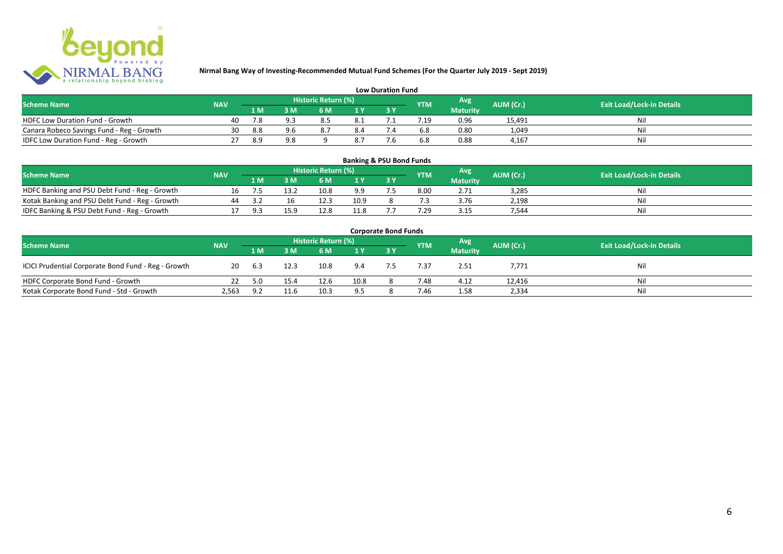

| <b>Low Duration Fund</b>                  |            |     |     |                     |      |  |            |                 |           |                                  |  |  |  |
|-------------------------------------------|------------|-----|-----|---------------------|------|--|------------|-----------------|-----------|----------------------------------|--|--|--|
| <b>Scheme Name</b>                        | <b>NAV</b> |     |     | Historic Return (%) |      |  | <b>YTM</b> | Avg             | AUM (Cr.) | <b>Exit Load/Lock-in Details</b> |  |  |  |
|                                           |            | 1 M |     | 6 M                 |      |  |            | <b>Maturity</b> |           |                                  |  |  |  |
| <b>HDFC Low Duration Fund - Growth</b>    | 40         | 7.8 | 93  | 8.5                 | -8.1 |  |            | 0.96            | 15,491    | Nli                              |  |  |  |
| Canara Robeco Savings Fund - Reg - Growth | 30         | 8.8 | 9 R |                     | 8.4  |  | 6.8        | 0.80            | 1,049     | Ni                               |  |  |  |
| IDFC Low Duration Fund - Reg - Growth     |            | 8.9 | 9.8 |                     | 8.7  |  | 6.8        | 0.88            | 4.167     | Ni                               |  |  |  |

#### **1 M 3 M 6 M 1 Y 3 Y** NOFC Banking and PSU Debt Fund - Reg - Growth 16 7.5 13.2 10.8 9.9 7.5 8.00 2.71 3,285 Nil<br>
Kotak Banking and PSU Debt Fund - Reg - Growth 44 3.2 16 12.3 10.9 8 7.3 3.76 2,198 Nil Notak Banking and PSU Debt Fund - Reg - Growth 44 3.2 16 12.3 10.9 8 7.3 3.76 2,198 11.8 17 9.3 15 17 9.3 15.9 12.8 11.8 7.7 7.29 3.15 7,544 Nil IDFC Banking & PSU Debt Fund - Reg - Growth 17 9.3 15.9 12.8 11.8 7.7 7.29 3.15 7,544 Nil **Banking & PSU Bond Funds Scheme Name NAV REGISTER AUM (Cr.) AUM (Cr.)** Exit Load/Lock-in Details **Historic Return (%) Maturity**

| <b>Corporate Bond Funds</b>                         |            |       |      |                            |      |     |            |                 |           |                                  |  |  |  |
|-----------------------------------------------------|------------|-------|------|----------------------------|------|-----|------------|-----------------|-----------|----------------------------------|--|--|--|
| <b>Scheme Name</b>                                  | <b>NAV</b> |       |      | <b>Historic Return (%)</b> |      |     | <b>YTM</b> | Avg             | AUM (Cr.) | <b>Exit Load/Lock-in Details</b> |  |  |  |
|                                                     |            | 1 M   | λN   | 6 M                        | 1 Y  | 3 Y |            | <b>Maturity</b> |           |                                  |  |  |  |
| ICICI Prudential Corporate Bond Fund - Reg - Growth | 20         | - 6.3 | 12.3 | 10.8                       | 9.4  |     | 7.37       | 2.51            | 7,771     | Nil                              |  |  |  |
| HDFC Corporate Bond Fund - Growth                   |            | 5.0   | 15.4 | 12.6                       | 10.8 |     | 7.48       | 4.12            | 12,416    | Nil                              |  |  |  |
| Kotak Corporate Bond Fund - Std - Growth            | 2,563      | 9.2   | 11.6 | 10.3                       | 9.5  |     | 7.46       | 1.58            | 2,334     | Nil                              |  |  |  |